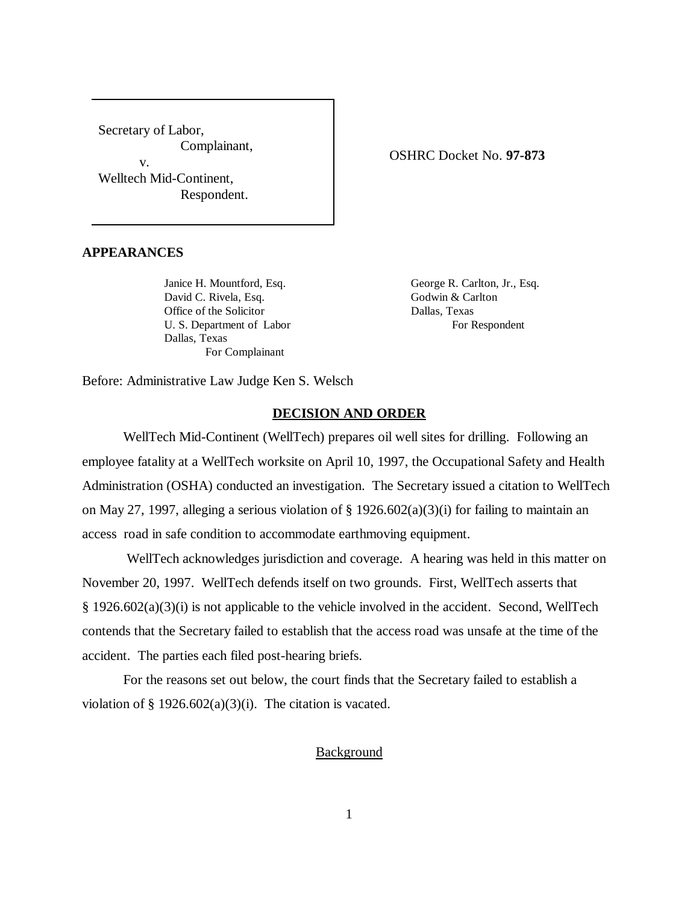Secretary of Labor, Complainant, v. Welltech Mid-Continent, Respondent.

## OSHRC Docket No. **97-873**

# **APPEARANCES**

Janice H. Mountford, Esq. George R. Carlton, Jr., Esq. David C. Rivela, Esq. Godwin & Carlton Office of the Solicitor Dallas, Texas U. S. Department of Labor For Respondent Dallas, Texas For Complainant

Before: Administrative Law Judge Ken S. Welsch

### **DECISION AND ORDER**

WellTech Mid-Continent (WellTech) prepares oil well sites for drilling. Following an employee fatality at a WellTech worksite on April 10, 1997, the Occupational Safety and Health Administration (OSHA) conducted an investigation. The Secretary issued a citation to WellTech on May 27, 1997, alleging a serious violation of  $\S 1926.602(a)(3)(i)$  for failing to maintain an access road in safe condition to accommodate earthmoving equipment.

 WellTech acknowledges jurisdiction and coverage. A hearing was held in this matter on November 20, 1997. WellTech defends itself on two grounds. First, WellTech asserts that § 1926.602(a)(3)(i) is not applicable to the vehicle involved in the accident. Second, WellTech contends that the Secretary failed to establish that the access road was unsafe at the time of the accident. The parties each filed post-hearing briefs.

For the reasons set out below, the court finds that the Secretary failed to establish a violation of  $\S 1926.602(a)(3)(i)$ . The citation is vacated.

### **Background**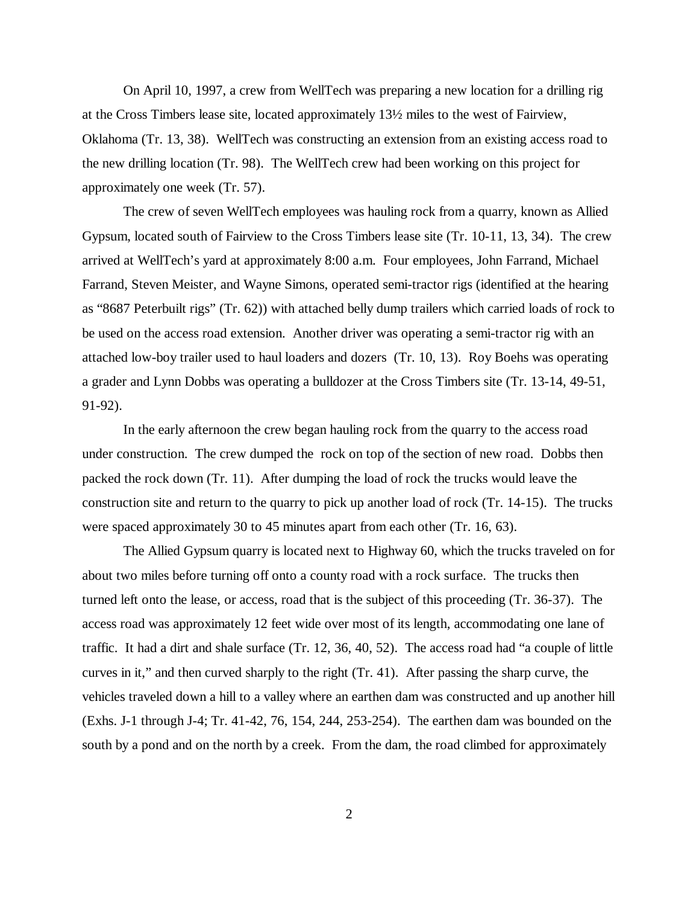On April 10, 1997, a crew from WellTech was preparing a new location for a drilling rig at the Cross Timbers lease site, located approximately 13½ miles to the west of Fairview, Oklahoma (Tr. 13, 38). WellTech was constructing an extension from an existing access road to the new drilling location (Tr. 98). The WellTech crew had been working on this project for approximately one week (Tr. 57).

The crew of seven WellTech employees was hauling rock from a quarry, known as Allied Gypsum, located south of Fairview to the Cross Timbers lease site (Tr. 10-11, 13, 34). The crew arrived at WellTech's yard at approximately 8:00 a.m. Four employees, John Farrand, Michael Farrand, Steven Meister, and Wayne Simons, operated semi-tractor rigs (identified at the hearing as "8687 Peterbuilt rigs" (Tr. 62)) with attached belly dump trailers which carried loads of rock to be used on the access road extension. Another driver was operating a semi-tractor rig with an attached low-boy trailer used to haul loaders and dozers (Tr. 10, 13). Roy Boehs was operating a grader and Lynn Dobbs was operating a bulldozer at the Cross Timbers site (Tr. 13-14, 49-51, 91-92).

In the early afternoon the crew began hauling rock from the quarry to the access road under construction. The crew dumped the rock on top of the section of new road. Dobbs then packed the rock down (Tr. 11). After dumping the load of rock the trucks would leave the construction site and return to the quarry to pick up another load of rock (Tr. 14-15). The trucks were spaced approximately 30 to 45 minutes apart from each other (Tr. 16, 63).

The Allied Gypsum quarry is located next to Highway 60, which the trucks traveled on for about two miles before turning off onto a county road with a rock surface. The trucks then turned left onto the lease, or access, road that is the subject of this proceeding (Tr. 36-37). The access road was approximately 12 feet wide over most of its length, accommodating one lane of traffic. It had a dirt and shale surface (Tr. 12, 36, 40, 52). The access road had "a couple of little curves in it," and then curved sharply to the right (Tr. 41). After passing the sharp curve, the vehicles traveled down a hill to a valley where an earthen dam was constructed and up another hill (Exhs. J-1 through J-4; Tr. 41-42, 76, 154, 244, 253-254). The earthen dam was bounded on the south by a pond and on the north by a creek. From the dam, the road climbed for approximately

2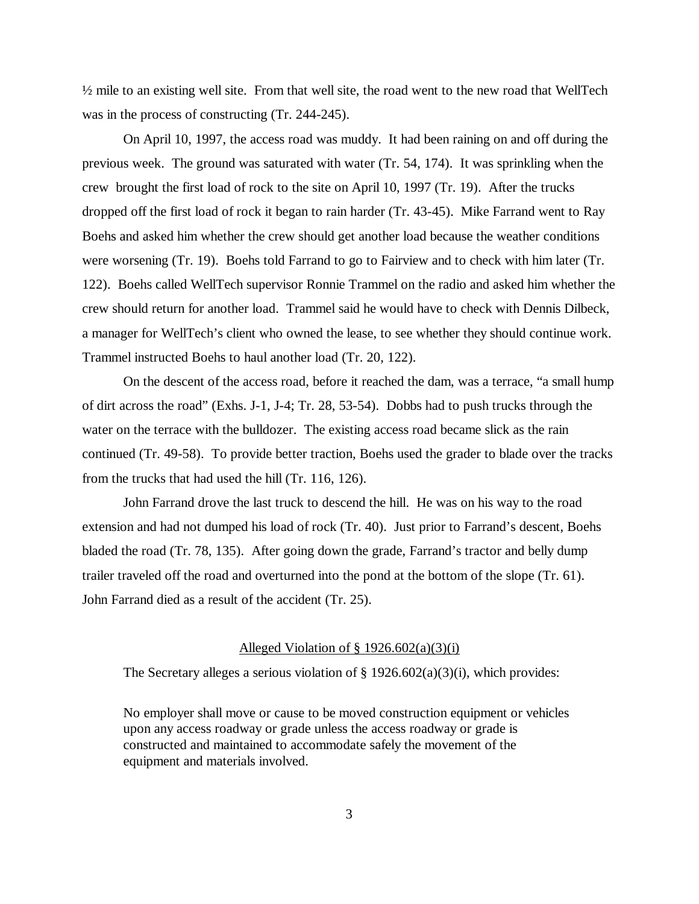$\frac{1}{2}$  mile to an existing well site. From that well site, the road went to the new road that WellTech was in the process of constructing (Tr. 244-245).

On April 10, 1997, the access road was muddy. It had been raining on and off during the previous week. The ground was saturated with water (Tr. 54, 174). It was sprinkling when the crew brought the first load of rock to the site on April 10, 1997 (Tr. 19). After the trucks dropped off the first load of rock it began to rain harder (Tr. 43-45). Mike Farrand went to Ray Boehs and asked him whether the crew should get another load because the weather conditions were worsening (Tr. 19). Boehs told Farrand to go to Fairview and to check with him later (Tr. 122). Boehs called WellTech supervisor Ronnie Trammel on the radio and asked him whether the crew should return for another load. Trammel said he would have to check with Dennis Dilbeck, a manager for WellTech's client who owned the lease, to see whether they should continue work. Trammel instructed Boehs to haul another load (Tr. 20, 122).

On the descent of the access road, before it reached the dam, was a terrace, "a small hump of dirt across the road" (Exhs. J-1, J-4; Tr. 28, 53-54). Dobbs had to push trucks through the water on the terrace with the bulldozer. The existing access road became slick as the rain continued (Tr. 49-58). To provide better traction, Boehs used the grader to blade over the tracks from the trucks that had used the hill (Tr. 116, 126).

John Farrand drove the last truck to descend the hill. He was on his way to the road extension and had not dumped his load of rock (Tr. 40). Just prior to Farrand's descent, Boehs bladed the road (Tr. 78, 135). After going down the grade, Farrand's tractor and belly dump trailer traveled off the road and overturned into the pond at the bottom of the slope (Tr. 61). John Farrand died as a result of the accident (Tr. 25).

### Alleged Violation of  $\S$  1926.602(a)(3)(i)

The Secretary alleges a serious violation of  $\S 1926.602(a)(3)(i)$ , which provides:

No employer shall move or cause to be moved construction equipment or vehicles upon any access roadway or grade unless the access roadway or grade is constructed and maintained to accommodate safely the movement of the equipment and materials involved.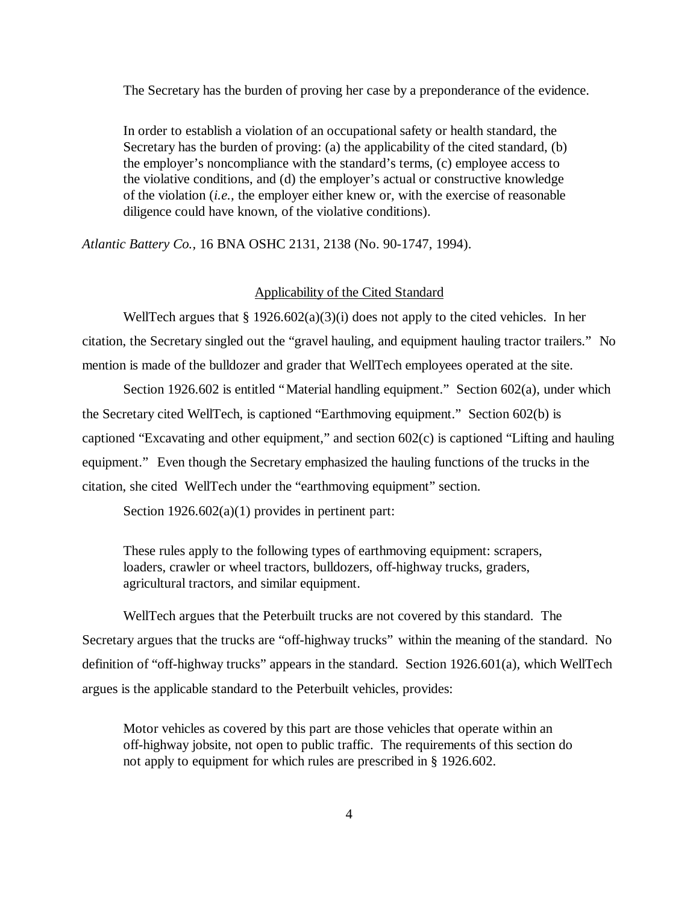The Secretary has the burden of proving her case by a preponderance of the evidence.

In order to establish a violation of an occupational safety or health standard, the Secretary has the burden of proving: (a) the applicability of the cited standard, (b) the employer's noncompliance with the standard's terms, (c) employee access to the violative conditions, and (d) the employer's actual or constructive knowledge of the violation (*i.e.,* the employer either knew or, with the exercise of reasonable diligence could have known, of the violative conditions).

*Atlantic Battery Co.,* 16 BNA OSHC 2131, 2138 (No. 90-1747, 1994).

#### Applicability of the Cited Standard

WellTech argues that § 1926.602(a)(3)(i) does not apply to the cited vehicles. In her citation, the Secretary singled out the "gravel hauling, and equipment hauling tractor trailers." No mention is made of the bulldozer and grader that WellTech employees operated at the site.

Section 1926.602 is entitled "Material handling equipment." Section 602(a), under which the Secretary cited WellTech, is captioned "Earthmoving equipment." Section 602(b) is captioned "Excavating and other equipment," and section 602(c) is captioned "Lifting and hauling equipment." Even though the Secretary emphasized the hauling functions of the trucks in the citation, she cited WellTech under the "earthmoving equipment" section.

Section 1926.602(a)(1) provides in pertinent part:

These rules apply to the following types of earthmoving equipment: scrapers, loaders, crawler or wheel tractors, bulldozers, off-highway trucks, graders, agricultural tractors, and similar equipment.

WellTech argues that the Peterbuilt trucks are not covered by this standard. The Secretary argues that the trucks are "off-highway trucks" within the meaning of the standard. No definition of "off-highway trucks" appears in the standard. Section 1926.601(a), which WellTech argues is the applicable standard to the Peterbuilt vehicles, provides:

Motor vehicles as covered by this part are those vehicles that operate within an off-highway jobsite, not open to public traffic. The requirements of this section do not apply to equipment for which rules are prescribed in § 1926.602.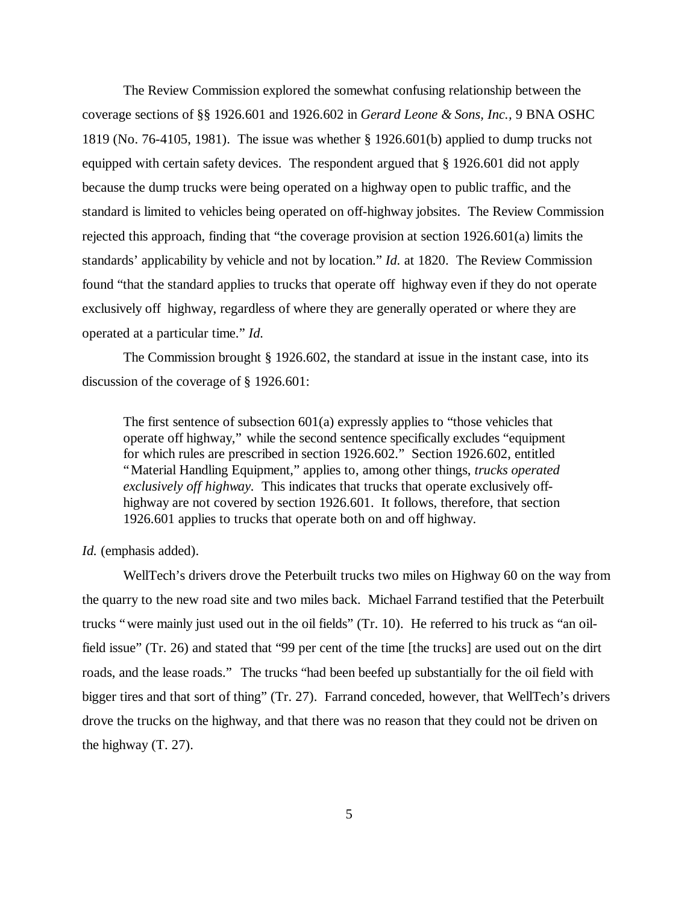The Review Commission explored the somewhat confusing relationship between the coverage sections of §§ 1926.601 and 1926.602 in *Gerard Leone & Sons, Inc.,* 9 BNA OSHC 1819 (No. 76-4105, 1981). The issue was whether § 1926.601(b) applied to dump trucks not equipped with certain safety devices. The respondent argued that § 1926.601 did not apply because the dump trucks were being operated on a highway open to public traffic, and the standard is limited to vehicles being operated on off-highway jobsites. The Review Commission rejected this approach, finding that "the coverage provision at section 1926.601(a) limits the standards' applicability by vehicle and not by location." *Id.* at 1820. The Review Commission found "that the standard applies to trucks that operate off highway even if they do not operate exclusively off highway, regardless of where they are generally operated or where they are operated at a particular time." *Id.* 

The Commission brought § 1926.602, the standard at issue in the instant case, into its discussion of the coverage of § 1926.601:

The first sentence of subsection 601(a) expressly applies to "those vehicles that operate off highway," while the second sentence specifically excludes "equipment for which rules are prescribed in section 1926.602." Section 1926.602, entitled "Material Handling Equipment," applies to, among other things, *trucks operated exclusively off highway.* This indicates that trucks that operate exclusively offhighway are not covered by section 1926.601. It follows, therefore, that section 1926.601 applies to trucks that operate both on and off highway.

### *Id.* (emphasis added).

WellTech's drivers drove the Peterbuilt trucks two miles on Highway 60 on the way from the quarry to the new road site and two miles back. Michael Farrand testified that the Peterbuilt trucks "were mainly just used out in the oil fields" (Tr. 10). He referred to his truck as "an oilfield issue" (Tr. 26) and stated that "99 per cent of the time [the trucks] are used out on the dirt roads, and the lease roads." The trucks "had been beefed up substantially for the oil field with bigger tires and that sort of thing" (Tr. 27). Farrand conceded, however, that WellTech's drivers drove the trucks on the highway, and that there was no reason that they could not be driven on the highway (T. 27).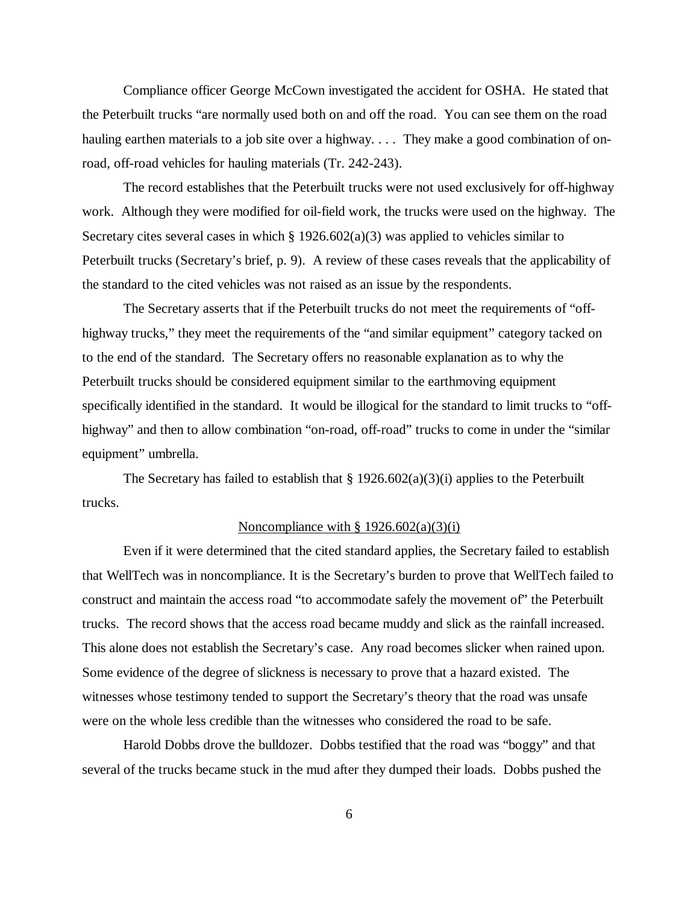Compliance officer George McCown investigated the accident for OSHA. He stated that the Peterbuilt trucks "are normally used both on and off the road. You can see them on the road hauling earthen materials to a job site over a highway.... They make a good combination of onroad, off-road vehicles for hauling materials (Tr. 242-243).

The record establishes that the Peterbuilt trucks were not used exclusively for off-highway work. Although they were modified for oil-field work, the trucks were used on the highway. The Secretary cites several cases in which  $\S 1926.602(a)(3)$  was applied to vehicles similar to Peterbuilt trucks (Secretary's brief, p. 9). A review of these cases reveals that the applicability of the standard to the cited vehicles was not raised as an issue by the respondents.

The Secretary asserts that if the Peterbuilt trucks do not meet the requirements of "offhighway trucks," they meet the requirements of the "and similar equipment" category tacked on to the end of the standard. The Secretary offers no reasonable explanation as to why the Peterbuilt trucks should be considered equipment similar to the earthmoving equipment specifically identified in the standard. It would be illogical for the standard to limit trucks to "offhighway" and then to allow combination "on-road, off-road" trucks to come in under the "similar equipment" umbrella.

The Secretary has failed to establish that  $\S 1926.602(a)(3)(i)$  applies to the Peterbuilt trucks.

### Noncompliance with  $\S 1926.602(a)(3)(i)$

Even if it were determined that the cited standard applies, the Secretary failed to establish that WellTech was in noncompliance. It is the Secretary's burden to prove that WellTech failed to construct and maintain the access road "to accommodate safely the movement of" the Peterbuilt trucks. The record shows that the access road became muddy and slick as the rainfall increased. This alone does not establish the Secretary's case. Any road becomes slicker when rained upon. Some evidence of the degree of slickness is necessary to prove that a hazard existed. The witnesses whose testimony tended to support the Secretary's theory that the road was unsafe were on the whole less credible than the witnesses who considered the road to be safe.

Harold Dobbs drove the bulldozer. Dobbs testified that the road was "boggy" and that several of the trucks became stuck in the mud after they dumped their loads. Dobbs pushed the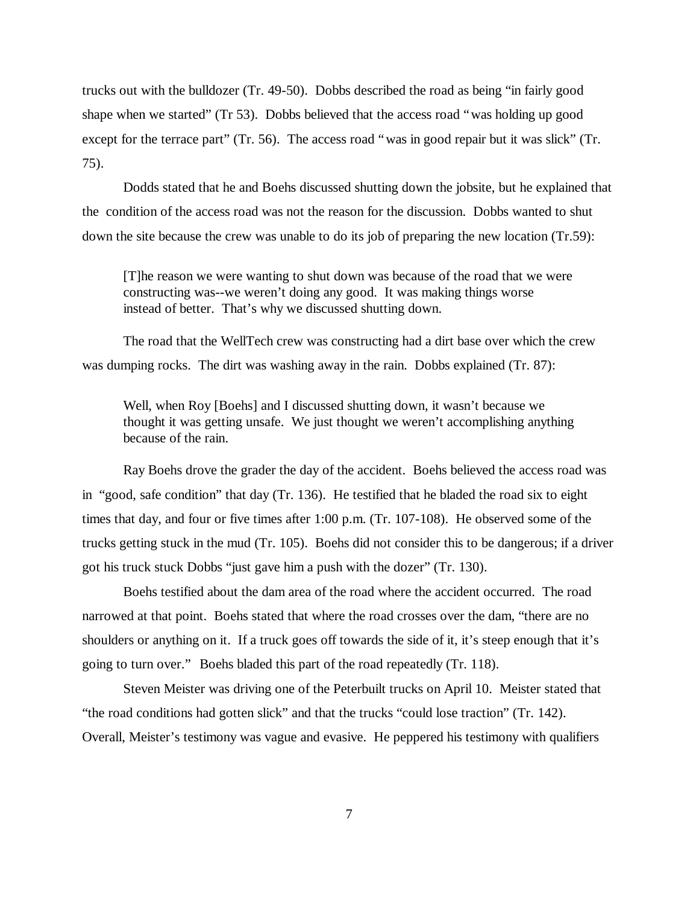trucks out with the bulldozer (Tr. 49-50). Dobbs described the road as being "in fairly good shape when we started" (Tr 53). Dobbs believed that the access road "was holding up good except for the terrace part" (Tr. 56). The access road "was in good repair but it was slick" (Tr. 75).

Dodds stated that he and Boehs discussed shutting down the jobsite, but he explained that the condition of the access road was not the reason for the discussion. Dobbs wanted to shut down the site because the crew was unable to do its job of preparing the new location (Tr.59):

[T]he reason we were wanting to shut down was because of the road that we were constructing was--we weren't doing any good. It was making things worse instead of better. That's why we discussed shutting down.

The road that the WellTech crew was constructing had a dirt base over which the crew was dumping rocks. The dirt was washing away in the rain. Dobbs explained (Tr. 87):

Well, when Roy [Boehs] and I discussed shutting down, it wasn't because we thought it was getting unsafe. We just thought we weren't accomplishing anything because of the rain.

Ray Boehs drove the grader the day of the accident. Boehs believed the access road was in "good, safe condition" that day (Tr. 136). He testified that he bladed the road six to eight times that day, and four or five times after 1:00 p.m. (Tr. 107-108). He observed some of the trucks getting stuck in the mud (Tr. 105). Boehs did not consider this to be dangerous; if a driver got his truck stuck Dobbs "just gave him a push with the dozer" (Tr. 130).

Boehs testified about the dam area of the road where the accident occurred. The road narrowed at that point. Boehs stated that where the road crosses over the dam, "there are no shoulders or anything on it. If a truck goes off towards the side of it, it's steep enough that it's going to turn over." Boehs bladed this part of the road repeatedly (Tr. 118).

Steven Meister was driving one of the Peterbuilt trucks on April 10. Meister stated that "the road conditions had gotten slick" and that the trucks "could lose traction" (Tr. 142). Overall, Meister's testimony was vague and evasive. He peppered his testimony with qualifiers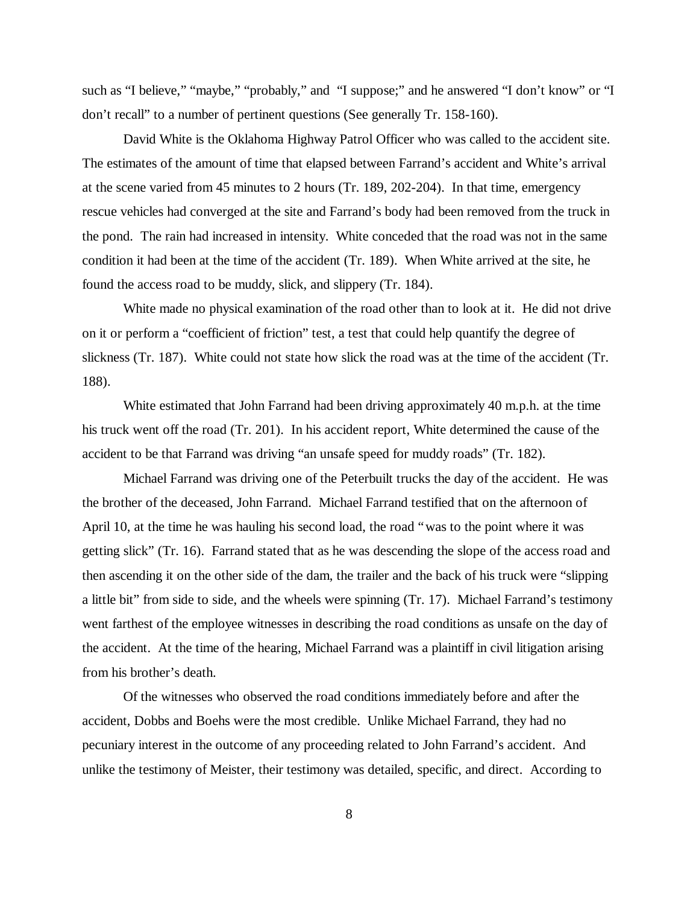such as "I believe," "maybe," "probably," and "I suppose;" and he answered "I don't know" or "I don't recall" to a number of pertinent questions (See generally Tr. 158-160).

David White is the Oklahoma Highway Patrol Officer who was called to the accident site. The estimates of the amount of time that elapsed between Farrand's accident and White's arrival at the scene varied from 45 minutes to 2 hours (Tr. 189, 202-204). In that time, emergency rescue vehicles had converged at the site and Farrand's body had been removed from the truck in the pond. The rain had increased in intensity. White conceded that the road was not in the same condition it had been at the time of the accident (Tr. 189). When White arrived at the site, he found the access road to be muddy, slick, and slippery (Tr. 184).

White made no physical examination of the road other than to look at it. He did not drive on it or perform a "coefficient of friction" test, a test that could help quantify the degree of slickness (Tr. 187). White could not state how slick the road was at the time of the accident (Tr. 188).

White estimated that John Farrand had been driving approximately 40 m.p.h. at the time his truck went off the road (Tr. 201). In his accident report, White determined the cause of the accident to be that Farrand was driving "an unsafe speed for muddy roads" (Tr. 182).

Michael Farrand was driving one of the Peterbuilt trucks the day of the accident. He was the brother of the deceased, John Farrand. Michael Farrand testified that on the afternoon of April 10, at the time he was hauling his second load, the road "was to the point where it was getting slick" (Tr. 16). Farrand stated that as he was descending the slope of the access road and then ascending it on the other side of the dam, the trailer and the back of his truck were "slipping a little bit" from side to side, and the wheels were spinning (Tr. 17). Michael Farrand's testimony went farthest of the employee witnesses in describing the road conditions as unsafe on the day of the accident. At the time of the hearing, Michael Farrand was a plaintiff in civil litigation arising from his brother's death.

Of the witnesses who observed the road conditions immediately before and after the accident, Dobbs and Boehs were the most credible. Unlike Michael Farrand, they had no pecuniary interest in the outcome of any proceeding related to John Farrand's accident. And unlike the testimony of Meister, their testimony was detailed, specific, and direct. According to

8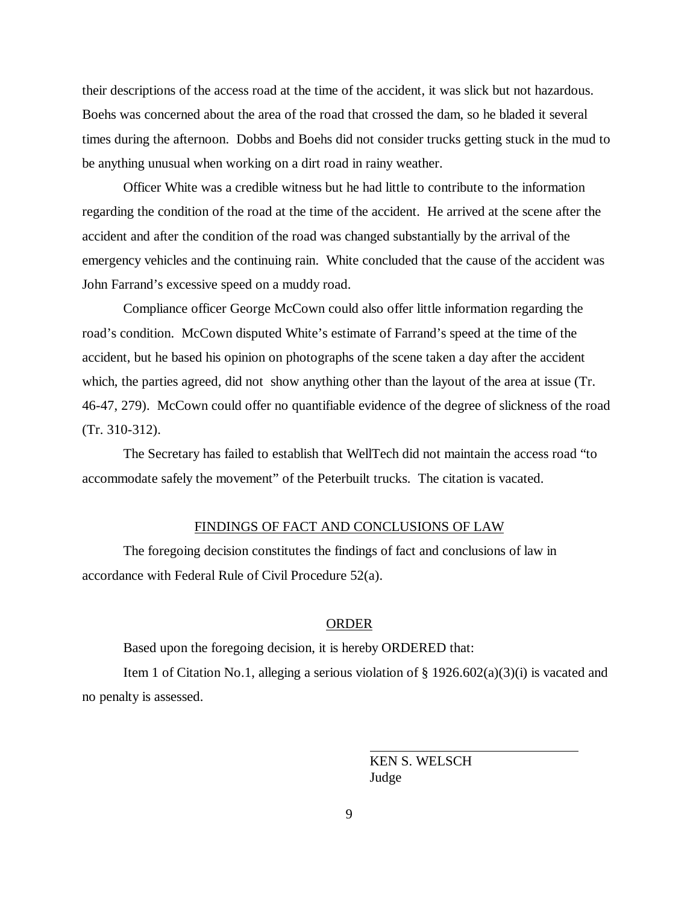their descriptions of the access road at the time of the accident, it was slick but not hazardous. Boehs was concerned about the area of the road that crossed the dam, so he bladed it several times during the afternoon. Dobbs and Boehs did not consider trucks getting stuck in the mud to be anything unusual when working on a dirt road in rainy weather.

Officer White was a credible witness but he had little to contribute to the information regarding the condition of the road at the time of the accident. He arrived at the scene after the accident and after the condition of the road was changed substantially by the arrival of the emergency vehicles and the continuing rain. White concluded that the cause of the accident was John Farrand's excessive speed on a muddy road.

Compliance officer George McCown could also offer little information regarding the road's condition. McCown disputed White's estimate of Farrand's speed at the time of the accident, but he based his opinion on photographs of the scene taken a day after the accident which, the parties agreed, did not show anything other than the layout of the area at issue (Tr. 46-47, 279). McCown could offer no quantifiable evidence of the degree of slickness of the road (Tr. 310-312).

The Secretary has failed to establish that WellTech did not maintain the access road "to accommodate safely the movement" of the Peterbuilt trucks. The citation is vacated.

### FINDINGS OF FACT AND CONCLUSIONS OF LAW

The foregoing decision constitutes the findings of fact and conclusions of law in accordance with Federal Rule of Civil Procedure 52(a).

### ORDER

Based upon the foregoing decision, it is hereby ORDERED that:

Item 1 of Citation No.1, alleging a serious violation of  $\S 1926.602(a)(3)(i)$  is vacated and no penalty is assessed.

> KEN S. WELSCH Judge